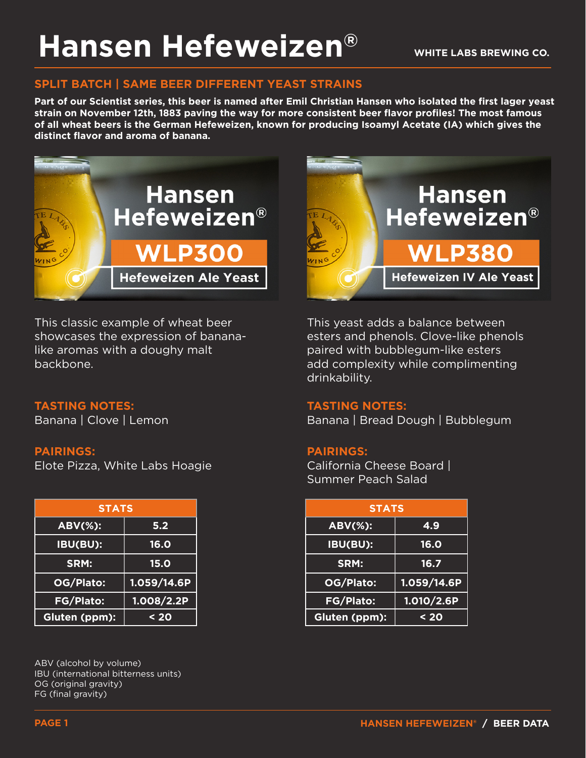# **Hansen Hefeweizen®**

### **SPLIT BATCH | SAME BEER DIFFERENT YEAST STRAINS**

**Part of our Scientist series, this beer is named after Emil Christian Hansen who isolated the first lager yeast strain on November 12th, 1883 paving the way for more consistent beer flavor profiles! The most famous of all wheat beers is the German Hefeweizen, known for producing Isoamyl Acetate (IA) which gives the distinct flavor and aroma of banana.**



This classic example of wheat beer showcases the expression of bananalike aromas with a doughy malt backbone.

#### **TASTING NOTES:**

Banana | Clove | Lemon

#### **PAIRINGS:**

Elote Pizza, White Labs Hoagie

| <b>STATS</b>     |              |
|------------------|--------------|
| <b>ABV(%):</b>   | 5.2          |
| <b>IBU(BU):</b>  | <b>16.0</b>  |
| SRM:             | 15.0         |
| OG/Plato:        | 1.059/14.6P  |
| <b>FG/Plato:</b> | 1.008 / 2.2P |
| Gluten (ppm):    | $20$         |

ABV (alcohol by volume) IBU (international bitterness units) OG (original gravity) FG (final gravity)



This yeast adds a balance between esters and phenols. Clove-like phenols paired with bubblegum-like esters add complexity while complimenting drinkability.

#### **TASTING NOTES:**

Banana | Bread Dough | Bubblegum

#### **PAIRINGS:**

California Cheese Board | Summer Peach Salad

| <b>STATS</b> |             | <b>STATS</b>   |             |
|--------------|-------------|----------------|-------------|
| Ŧ.           | 5.2         | <b>ABV(%):</b> | 4.9         |
| H            | 16.0        | IBU(BU):       | <b>16.0</b> |
|              | <b>15.0</b> | SRM:           | 16.7        |
| :כ           | 1.059/14.6P | OG/Plato:      | 1.059/14.6P |
| $\mathbf{S}$ | 1.008/2.2P  | FG/Plato:      | 1.010/2.6P  |
| $m$ :        | $20$        | Gluten (ppm):  | $20$        |